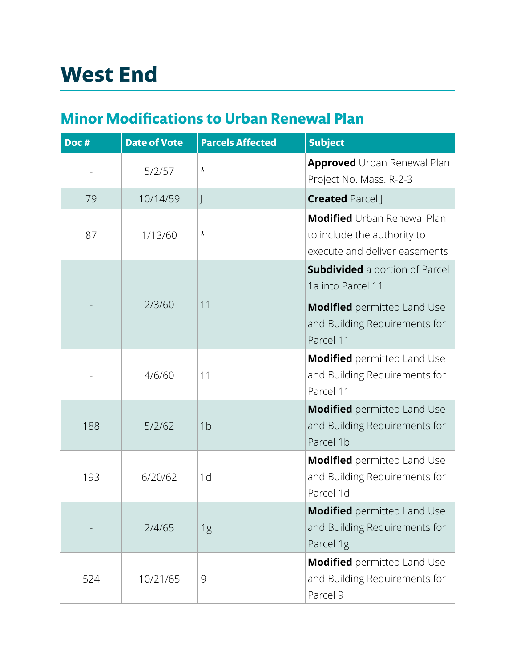## **Minor Modi!cations to Urban Renewal Plan**

| Doc# | <b>Date of Vote</b> | <b>Parcels Affected</b> | <b>Subject</b>                                                                                     |
|------|---------------------|-------------------------|----------------------------------------------------------------------------------------------------|
|      | 5/2/57              | $^\star$                | <b>Approved</b> Urban Renewal Plan<br>Project No. Mass. R-2-3                                      |
| 79   | 10/14/59            | J                       | <b>Created Parcel J</b>                                                                            |
| 87   | 1/13/60             | $^\star$                | <b>Modified</b> Urban Renewal Plan<br>to include the authority to<br>execute and deliver easements |
|      | 2/3/60              | 11                      | <b>Subdivided</b> a portion of Parcel<br>1a into Parcel 11                                         |
|      |                     |                         | <b>Modified</b> permitted Land Use<br>and Building Requirements for<br>Parcel 11                   |
|      | 4/6/60              | 11                      | <b>Modified</b> permitted Land Use<br>and Building Requirements for<br>Parcel 11                   |
| 188  | 5/2/62              | 1 <sub>b</sub>          | <b>Modified</b> permitted Land Use<br>and Building Requirements for<br>Parcel 1b                   |
| 193  | 6/20/62             | 1d                      | <b>Modified</b> permitted Land Use<br>and Building Requirements for<br>Parcel 1d                   |
|      | 2/4/65              | 1g                      | <b>Modified</b> permitted Land Use<br>and Building Requirements for<br>Parcel 1g                   |
| 524  | 10/21/65            | 9                       | <b>Modified</b> permitted Land Use<br>and Building Requirements for<br>Parcel 9                    |